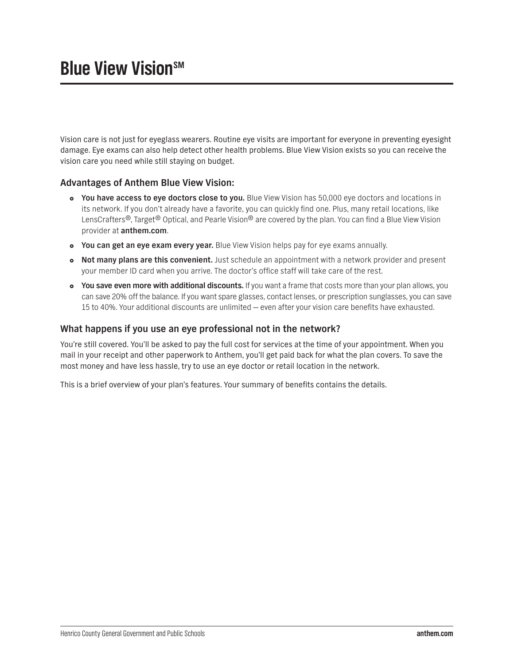## **Blue View Vision**SM

Vision care is not just for eyeglass wearers. Routine eye visits are important for everyone in preventing eyesight damage. Eye exams can also help detect other health problems. Blue View Vision exists so you can receive the vision care you need while still staying on budget.

## **Advantages of Anthem Blue View Vision:**

- **You have access to eye doctors close to you.** Blue View Vision has 50,000 eye doctors and locations in its network. If you don't already have a favorite, you can quickly find one. Plus, many retail locations, like LensCrafters<sup>®</sup>, Target<sup>®</sup> Optical, and Pearle Vision<sup>®</sup> are covered by the plan. You can find a Blue View Vision provider at **[anthem.com](http://anthem.com)**.
- **You can get an eye exam every year.** Blue View Vision helps pay for eye exams annually.
- **Not many plans are this convenient.** Just schedule an appointment with a network provider and present your member ID card when you arrive. The doctor's office staff will take care of the rest.
- **You save even more with additional discounts.** If you want a frame that costs more than your plan allows, you can save 20% off the balance. If you want spare glasses, contact lenses, or prescription sunglasses, you can save 15 to 40%. Your additional discounts are unlimited — even after your vision care benefits have exhausted.

## **What happens if you use an eye professional not in the network?**

You're still covered. You'll be asked to pay the full cost for services at the time of your appointment. When you mail in your receipt and other paperwork to Anthem, you'll get paid back for what the plan covers. To save the most money and have less hassle, try to use an eye doctor or retail location in the network.

This is a brief overview of your plan's features. Your summary of benefits contains the details.